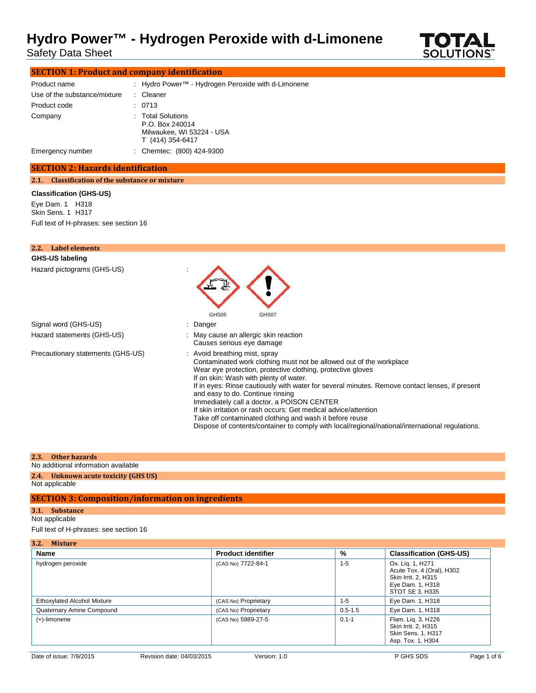# **Hydro Power™ - Hydrogen Peroxide with d-Limonene**<br>Safety Data Sheet **COTAL**<br>SOLUTIONS™

Safety Data Sheet



| <b>SECTION 1: Product and company identification</b> |  |                                                                                       |  |
|------------------------------------------------------|--|---------------------------------------------------------------------------------------|--|
| Product name                                         |  | : Hydro Power <sup>™</sup> - Hydrogen Peroxide with d-Limonene                        |  |
| Use of the substance/mixture                         |  | : Cleaner                                                                             |  |
| Product code                                         |  | : 0713                                                                                |  |
| Company                                              |  | : Total Solutions<br>P.O. Box 240014<br>Milwaukee, WI 53224 - USA<br>T (414) 354-6417 |  |
| Emergency number                                     |  | : Chemtec: (800) 424-9300                                                             |  |

### **SECTION 2: Hazards identification**

**2.1. Classification of the substance or mixture**

#### **Classification (GHS-US)**

Eye Dam. 1 H318 Skin Sens. 1 H317 Full text of H-phrases: see section 16

| Label elements<br>2.2.            |                                                                                                                                                                                                                                                                                                                                                                                                                                                                                                                                                                                                                                    |
|-----------------------------------|------------------------------------------------------------------------------------------------------------------------------------------------------------------------------------------------------------------------------------------------------------------------------------------------------------------------------------------------------------------------------------------------------------------------------------------------------------------------------------------------------------------------------------------------------------------------------------------------------------------------------------|
| GHS-US labeling                   |                                                                                                                                                                                                                                                                                                                                                                                                                                                                                                                                                                                                                                    |
| Hazard pictograms (GHS-US)        | GHS05<br>GHS07                                                                                                                                                                                                                                                                                                                                                                                                                                                                                                                                                                                                                     |
| Signal word (GHS-US)              | : Danger                                                                                                                                                                                                                                                                                                                                                                                                                                                                                                                                                                                                                           |
| Hazard statements (GHS-US)        | : May cause an allergic skin reaction<br>Causes serious eye damage                                                                                                                                                                                                                                                                                                                                                                                                                                                                                                                                                                 |
| Precautionary statements (GHS-US) | : Avoid breathing mist, spray<br>Contaminated work clothing must not be allowed out of the workplace<br>Wear eye protection, protective clothing, protective gloves<br>If on skin: Wash with plenty of water.<br>If in eyes: Rinse cautiously with water for several minutes. Remove contact lenses, if present<br>and easy to do. Continue rinsing<br>Immediately call a doctor, a POISON CENTER<br>If skin irritation or rash occurs: Get medical advice/attention<br>Take off contaminated clothing and wash it before reuse<br>Dispose of contents/container to comply with local/regional/national/international regulations. |

### **2.3. Other hazards**

No additional information available

#### **2.4. Unknown acute toxicity (GHS US)** Not applicable

### **SECTION 3: Composition/information on ingredients**

### **3.1. Substance**

Not applicable

### Full text of H-phrases: see section 16

| 3.2. Mixture                       |                           |             |                                                                                                             |
|------------------------------------|---------------------------|-------------|-------------------------------------------------------------------------------------------------------------|
| <b>Name</b>                        | <b>Product identifier</b> | %           | <b>Classification (GHS-US)</b>                                                                              |
| hydrogen peroxide                  | (CAS No) 7722-84-1        | $1 - 5$     | Ox. Lig. 1, H271<br>Acute Tox. 4 (Oral), H302<br>Skin Irrit. 2, H315<br>Eye Dam. 1, H318<br>STOT SE 3, H335 |
| <b>Ethoxylated Alcohol Mixture</b> | (CAS No) Proprietary      | $1 - 5$     | Eye Dam. 1, H318                                                                                            |
| Quaternary Amine Compound          | (CAS No) Proprietary      | $0.5 - 1.5$ | Eye Dam. 1, H318                                                                                            |
| $(+)$ -limonene                    | (CAS No) 5989-27-5        | $0.1 - 1$   | Flam. Lig. 3, H226<br>Skin Irrit. 2, H315<br>Skin Sens. 1, H317<br>Asp. Tox. 1, H304                        |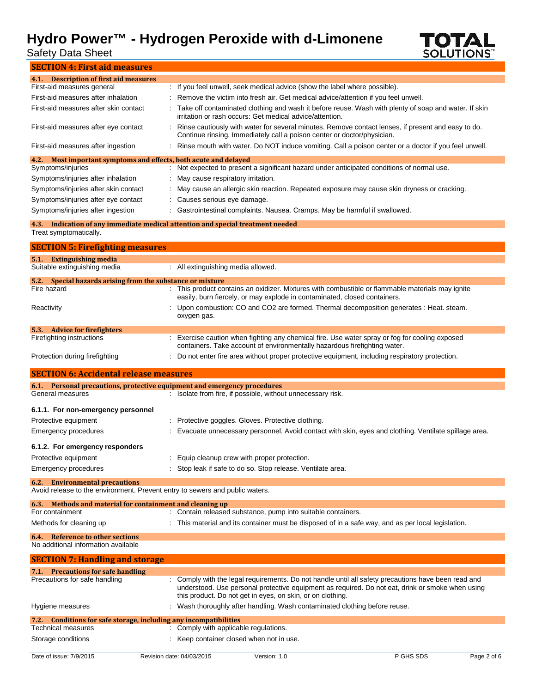# **Hydro Power™ - Hydrogen Peroxide with d-Limonene**<br>Safety Data Sheet<br>SOLUTIONS'

Safety Data Sheet



| <b>SECTION 4: First aid measures</b>                                              |                                                                                                                                                                               |
|-----------------------------------------------------------------------------------|-------------------------------------------------------------------------------------------------------------------------------------------------------------------------------|
| 4.1. Description of first aid measures                                            |                                                                                                                                                                               |
| First-aid measures general                                                        | : If you feel unwell, seek medical advice (show the label where possible).                                                                                                    |
| First-aid measures after inhalation                                               | Remove the victim into fresh air. Get medical advice/attention if you feel unwell.                                                                                            |
| First-aid measures after skin contact                                             | Take off contaminated clothing and wash it before reuse. Wash with plenty of soap and water. If skin<br>irritation or rash occurs: Get medical advice/attention.              |
| First-aid measures after eye contact                                              | Rinse cautiously with water for several minutes. Remove contact lenses, if present and easy to do.<br>Continue rinsing. Immediately call a poison center or doctor/physician. |
| First-aid measures after ingestion                                                | Rinse mouth with water. Do NOT induce vomiting. Call a poison center or a doctor if you feel unwell.                                                                          |
| Most important symptoms and effects, both acute and delayed<br>4.2.               |                                                                                                                                                                               |
| Symptoms/injuries                                                                 | Not expected to present a significant hazard under anticipated conditions of normal use.                                                                                      |
| Symptoms/injuries after inhalation                                                | May cause respiratory irritation.                                                                                                                                             |
| Symptoms/injuries after skin contact                                              | May cause an allergic skin reaction. Repeated exposure may cause skin dryness or cracking.                                                                                    |
| Symptoms/injuries after eye contact                                               | Causes serious eye damage.                                                                                                                                                    |
| Symptoms/injuries after ingestion                                                 | Gastrointestinal complaints. Nausea. Cramps. May be harmful if swallowed.                                                                                                     |
|                                                                                   | 4.3. Indication of any immediate medical attention and special treatment needed                                                                                               |
| Treat symptomatically.                                                            |                                                                                                                                                                               |
| <b>SECTION 5: Firefighting measures</b>                                           |                                                                                                                                                                               |
| <b>Extinguishing media</b><br>5.1.                                                |                                                                                                                                                                               |
| Suitable extinguishing media                                                      | : All extinguishing media allowed.                                                                                                                                            |
| Special hazards arising from the substance or mixture<br>5.2.                     |                                                                                                                                                                               |
| Fire hazard                                                                       | This product contains an oxidizer. Mixtures with combustible or flammable materials may ignite<br>easily, burn fiercely, or may explode in contaminated, closed containers.   |
| Reactivity                                                                        | Upon combustion: CO and CO2 are formed. Thermal decomposition generates : Heat. steam.<br>oxygen gas.                                                                         |
| 5.3. Advice for firefighters                                                      |                                                                                                                                                                               |
| Firefighting instructions                                                         | : Exercise caution when fighting any chemical fire. Use water spray or fog for cooling exposed<br>containers. Take account of environmentally hazardous firefighting water.   |
| Protection during firefighting                                                    | Do not enter fire area without proper protective equipment, including respiratory protection.                                                                                 |
| <b>SECTION 6: Accidental release measures</b>                                     |                                                                                                                                                                               |
| 6.1. Personal precautions, protective equipment and emergency procedures          |                                                                                                                                                                               |
| General measures                                                                  | : Isolate from fire, if possible, without unnecessary risk.                                                                                                                   |
| 6.1.1. For non-emergency personnel                                                |                                                                                                                                                                               |
| Protective equipment                                                              | Protective goggles. Gloves. Protective clothing.                                                                                                                              |
| <b>Emergency procedures</b>                                                       | Evacuate unnecessary personnel. Avoid contact with skin, eyes and clothing. Ventilate spillage area.                                                                          |
|                                                                                   |                                                                                                                                                                               |
| 6.1.2. For emergency responders                                                   |                                                                                                                                                                               |
| Protective equipment                                                              | Equip cleanup crew with proper protection.                                                                                                                                    |
| <b>Emergency procedures</b>                                                       | Stop leak if safe to do so. Stop release. Ventilate area.                                                                                                                     |
| <b>Environmental precautions</b><br>6.2.                                          |                                                                                                                                                                               |
| Avoid release to the environment. Prevent entry to sewers and public waters.      |                                                                                                                                                                               |
| 6.3. Methods and material for containment and cleaning up                         |                                                                                                                                                                               |
| For containment                                                                   | : Contain released substance, pump into suitable containers.                                                                                                                  |
| Methods for cleaning up                                                           | This material and its container must be disposed of in a safe way, and as per local legislation.                                                                              |
| <b>Reference to other sections</b><br>6.4.<br>No additional information available |                                                                                                                                                                               |
| <b>SECTION 7: Handling and storage</b>                                            |                                                                                                                                                                               |
| <b>Precautions for safe handling</b><br>7.1.                                      |                                                                                                                                                                               |
|                                                                                   |                                                                                                                                                                               |

Storage conditions **Storage conditions** : Keep container closed when not in use.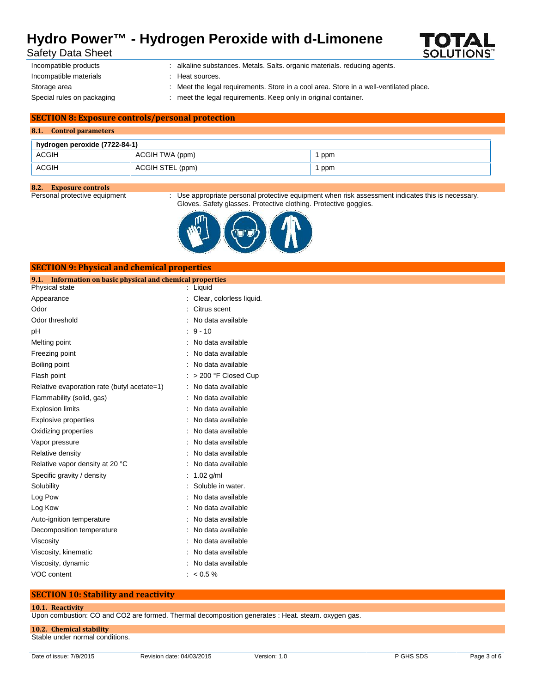## **Hydro Power™ - Hydrogen Peroxide with d-Limonene**



Safety Data Sheet

| incompatible products      |
|----------------------------|
| Incompatible materials     |
| Storage area               |
| Special rules on packaging |

: alkaline substances. Metals. Salts. organic materials. reducing agents.

**Heat sources** 

- : Meet the legal requirements. Store in a cool area. Store in a well-ventilated place.
- meet the legal requirements. Keep only in original container.

### **SECTION 8: Exposure controls/personal protection**

**SECTION 9: Physical and chemical properties**

#### **8.1. Control parameters**

| hydrogen peroxide (7722-84-1) |                  |     |
|-------------------------------|------------------|-----|
| <b>ACGIH</b>                  | ACGIH TWA (ppm)  | ppm |
| <b>ACGIH</b>                  | ACGIH STEL (ppm) | ppm |

# **8.2. Exposure controls**

: Use appropriate personal protective equipment when risk assessment indicates this is necessary. Gloves. Safety glasses. Protective clothing. Protective goggles.



### **9.1. Information on basic physical and chemical properties** Physical state : Liquid Appearance : Clear, colorless liquid. Odor : Citrus scent Odor threshold **in the contract of the contract of the contract of the contract of the contract of the contract of the contract of the contract of the contract of the contract of the contract of the contract of the contrac** pH : 9 - 10 Melting point **in the case of the case of the case of the case of the case of the case of the case of the case of the case of the case of the case of the case of the case of the case of the case of the case of the case of** Freezing point **in the case of the case of the case of the case of the case of the case of the case of the case of the case of the case of the case of the case of the case of the case of the case of the case of the case of** Boiling point **Example 20** and the set of the set of the set of the set of the set of the set of the set of the set of the set of the set of the set of the set of the set of the set of the set of the set of the set of the Flash point : > 200 °F Closed Cup Relative evaporation rate (butyl acetate=1) : No data available Flammability (solid, gas) : No data available Explosion limits **Explosion** limits **Explosion** limits **Explosion** in the set of  $\mathbb{R}$  and  $\mathbb{R}$  and  $\mathbb{R}$  are set of  $\mathbb{R}$  and  $\mathbb{R}$  are set of  $\mathbb{R}$  and  $\mathbb{R}$  are set of  $\mathbb{R}$  and  $\mathbb{R}$  are set Explosive properties in the state of the state of the September 2011 in the September 2012 in the September 20 Oxidizing properties **in the contract of the Contract August** 2012 : No data available Vapor pressure in the set of the set of the set of the Vapor pressure in the value of the Vapor control of the V Relative density **EXECUTE:** No data available Relative vapor density at 20 °C : No data available Specific gravity / density : 1.02 g/ml Solubility : Soluble in water. Log Pow : No data available Log Kow **:** No data available Auto-ignition temperature **interest and the Contract Auto-** : No data available

Decomposition temperature **interest and the Composition temperature** : No data available Viscosity : No data available Viscosity, kinematic intervalsed a state of the No data available

### **10.1. Reactivity**

Upon combustion: CO and CO2 are formed. Thermal decomposition generates : Heat. steam. oxygen gas.

**10.2. Chemical stability** Stable under normal conditions.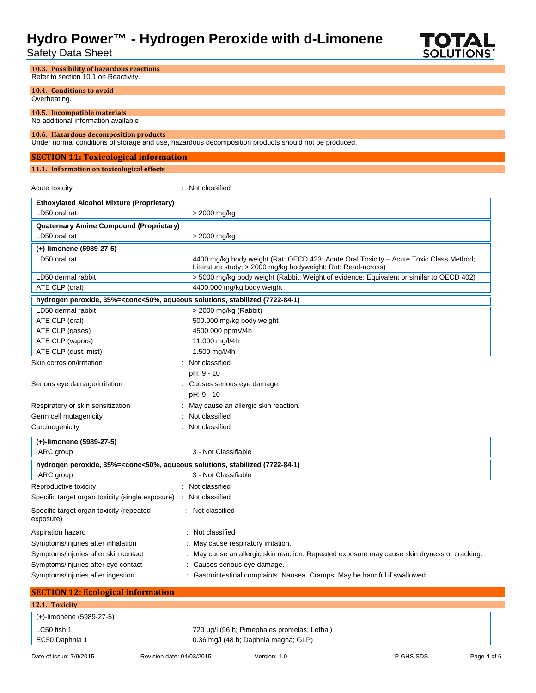# **Hydro Power™ - Hydrogen Peroxide with d-Limonene**<br>Safety Data Sheet Solutions™

Safety Data Sheet



| 10.3. Possibility of hazardous reactions<br>Refer to section 10.1 on Reactivity.                                      |                                                                                                                                                          |
|-----------------------------------------------------------------------------------------------------------------------|----------------------------------------------------------------------------------------------------------------------------------------------------------|
| 10.4. Conditions to avoid                                                                                             |                                                                                                                                                          |
| Overheating.                                                                                                          |                                                                                                                                                          |
| 10.5. Incompatible materials<br>No additional information available                                                   |                                                                                                                                                          |
| 10.6. Hazardous decomposition products                                                                                |                                                                                                                                                          |
|                                                                                                                       | Under normal conditions of storage and use, hazardous decomposition products should not be produced.                                                     |
| <b>SECTION 11: Toxicological information</b>                                                                          |                                                                                                                                                          |
| 11.1. Information on toxicological effects                                                                            |                                                                                                                                                          |
| Acute toxicity                                                                                                        | : Not classified                                                                                                                                         |
| <b>Ethoxylated Alcohol Mixture (Proprietary)</b>                                                                      |                                                                                                                                                          |
| LD50 oral rat                                                                                                         | > 2000 mg/kg                                                                                                                                             |
| Quaternary Amine Compound (Proprietary)                                                                               |                                                                                                                                                          |
| LD50 oral rat                                                                                                         | > 2000 mg/kg                                                                                                                                             |
| (+)-limonene (5989-27-5)                                                                                              |                                                                                                                                                          |
| LD50 oral rat                                                                                                         | 4400 mg/kg body weight (Rat; OECD 423: Acute Oral Toxicity – Acute Toxic Class Method;                                                                   |
| LD50 dermal rabbit                                                                                                    | Literature study; > 2000 mg/kg bodyweight; Rat; Read-across)<br>> 5000 mg/kg body weight (Rabbit; Weight of evidence; Equivalent or similar to OECD 402) |
| ATE CLP (oral)                                                                                                        | 4400.000 mg/kg body weight                                                                                                                               |
| hydrogen peroxide, 35%= <conc<50%, (7722-84-1)<="" aqueous="" solutions,="" stabilized="" td=""><td></td></conc<50%,> |                                                                                                                                                          |
| LD50 dermal rabbit                                                                                                    | > 2000 mg/kg (Rabbit)                                                                                                                                    |
| ATE CLP (oral)                                                                                                        | 500.000 mg/kg body weight                                                                                                                                |
| ATE CLP (gases)                                                                                                       | 4500.000 ppmV/4h                                                                                                                                         |
| ATE CLP (vapors)                                                                                                      | 11.000 mg/l/4h                                                                                                                                           |
| ATE CLP (dust, mist)                                                                                                  | 1.500 mg/l/4h                                                                                                                                            |
| Skin corrosion/irritation                                                                                             | : Not classified                                                                                                                                         |
|                                                                                                                       | pH: 9 - 10                                                                                                                                               |
| Serious eye damage/irritation                                                                                         | : Causes serious eye damage.                                                                                                                             |
|                                                                                                                       | pH: 9 - 10                                                                                                                                               |
| Respiratory or skin sensitization                                                                                     | May cause an allergic skin reaction.                                                                                                                     |
| Germ cell mutagenicity                                                                                                | Not classified                                                                                                                                           |
| Carcinogenicity                                                                                                       | : Not classified                                                                                                                                         |
| (+)-limonene (5989-27-5)                                                                                              |                                                                                                                                                          |
| IARC group                                                                                                            | 3 - Not Classifiable                                                                                                                                     |
| hydrogen peroxide, 35%= <conc<50%, (7722-84-1)<="" aqueous="" solutions,="" stabilized="" td=""><td></td></conc<50%,> |                                                                                                                                                          |
| IARC group                                                                                                            | 3 - Not Classifiable                                                                                                                                     |
| Reproductive toxicity                                                                                                 | : Not classified                                                                                                                                         |
| Specific target organ toxicity (single exposure)<br>$\mathcal{L}_{\mathcal{L}}$                                       | Not classified                                                                                                                                           |
| Specific target organ toxicity (repeated<br>exposure)                                                                 | : Not classified                                                                                                                                         |
| Aspiration hazard                                                                                                     | : Not classified                                                                                                                                         |
| Symptoms/injuries after inhalation                                                                                    | May cause respiratory irritation.                                                                                                                        |
| Symptoms/injuries after skin contact                                                                                  | May cause an allergic skin reaction. Repeated exposure may cause skin dryness or cracking.                                                               |
| Symptoms/injuries after eye contact                                                                                   | : Causes serious eye damage.                                                                                                                             |
| Symptoms/injuries after ingestion                                                                                     | : Gastrointestinal complaints. Nausea. Cramps. May be harmful if swallowed.                                                                              |
| <b>SECTION 12: Ecological information</b>                                                                             |                                                                                                                                                          |
| 12.1. Toxicity                                                                                                        |                                                                                                                                                          |

| (+)-limonene (5989-27-5) |                                              |
|--------------------------|----------------------------------------------|
| LC50 fish 1              | 720 µg/l (96 h; Pimephales promelas; Lethal) |
| EC50 Daphnia 1           | 0.36 mg/l (48 h; Daphnia magna; GLP)         |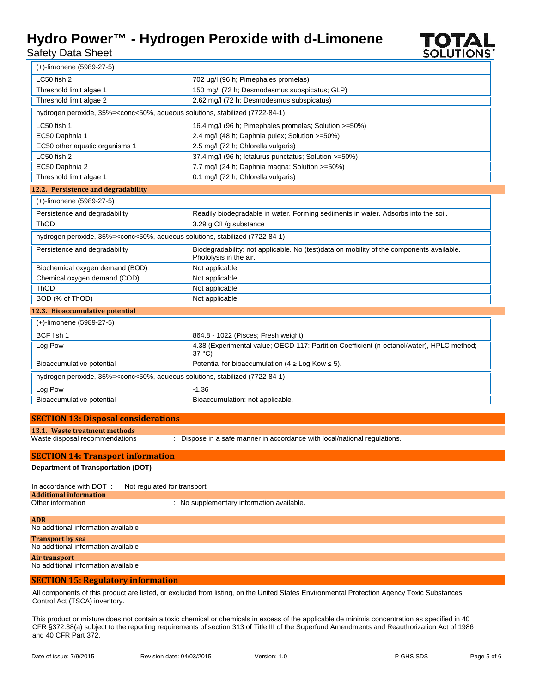## **Hydro Power™ - Hydrogen Peroxide with d-Limonene**

Safety Data Sheet



| <b>Additional information</b>       |                                           |
|-------------------------------------|-------------------------------------------|
| Other information                   | : No supplementary information available. |
|                                     |                                           |
| <b>ADR</b>                          |                                           |
| No additional information available |                                           |
| <b>Transport by sea</b>             |                                           |
| No additional information available |                                           |

## **Air transport**

No additional information available

### **SECTION 15: Regulatory information**

All components of this product are listed, or excluded from listing, on the United States Environmental Protection Agency Toxic Substances Control Act (TSCA) inventory.

This product or mixture does not contain a toxic chemical or chemicals in excess of the applicable de minimis concentration as specified in 40 CFR §372.38(a) subject to the reporting requirements of section 313 of Title III of the Superfund Amendments and Reauthorization Act of 1986 and 40 CFR Part 372.